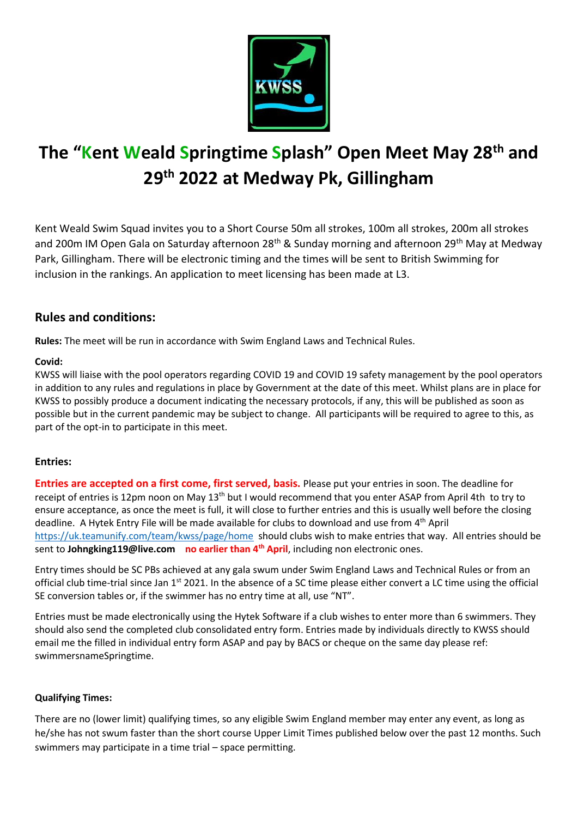

# **The "Kent Weald Springtime Splash" Open Meet May 28th and 29th 2022 at Medway Pk, Gillingham**

Kent Weald Swim Squad invites you to a Short Course 50m all strokes, 100m all strokes, 200m all strokes and 200m IM Open Gala on Saturday afternoon 28<sup>th</sup> & Sunday morning and afternoon 29<sup>th</sup> May at Medway Park, Gillingham. There will be electronic timing and the times will be sent to British Swimming for inclusion in the rankings. An application to meet licensing has been made at L3.

### **Rules and conditions:**

**Rules:** The meet will be run in accordance with Swim England Laws and Technical Rules.

#### **Covid:**

KWSS will liaise with the pool operators regarding COVID 19 and COVID 19 safety management by the pool operators in addition to any rules and regulations in place by Government at the date of this meet. Whilst plans are in place for KWSS to possibly produce a document indicating the necessary protocols, if any, this will be published as soon as possible but in the current pandemic may be subject to change. All participants will be required to agree to this, as part of the opt-in to participate in this meet.

### **Entries:**

**Entries are accepted on a first come, first served, basis.** Please put your entries in soon. The deadline for receipt of entries is 12pm noon on May 13<sup>th</sup> but I would recommend that you enter ASAP from April 4th to try to ensure acceptance, as once the meet is full, it will close to further entries and this is usually well before the closing deadline. A Hytek Entry File will be made available for clubs to download and use from 4<sup>th</sup> April <https://uk.teamunify.com/team/kwss/page/home>should clubs wish to make entries that way. All entries should be sent to **[Johngking119@live.com](mailto:Johngking119@live.com) no earlier than 4th April**, including non electronic ones.

Entry times should be SC PBs achieved at any gala swum under Swim England Laws and Technical Rules or from an official club time-trial since Jan 1<sup>st</sup> 2021. In the absence of a SC time please either convert a LC time using the official SE conversion tables or, if the swimmer has no entry time at all, use "NT".

Entries must be made electronically using the Hytek Software if a club wishes to enter more than 6 swimmers. They should also send the completed club consolidated entry form. Entries made by individuals directly to KWSS should email me the filled in individual entry form ASAP and pay by BACS or cheque on the same day please ref: swimmersnameSpringtime.

### **Qualifying Times:**

There are no (lower limit) qualifying times, so any eligible Swim England member may enter any event, as long as he/she has not swum faster than the short course Upper Limit Times published below over the past 12 months. Such swimmers may participate in a time trial – space permitting.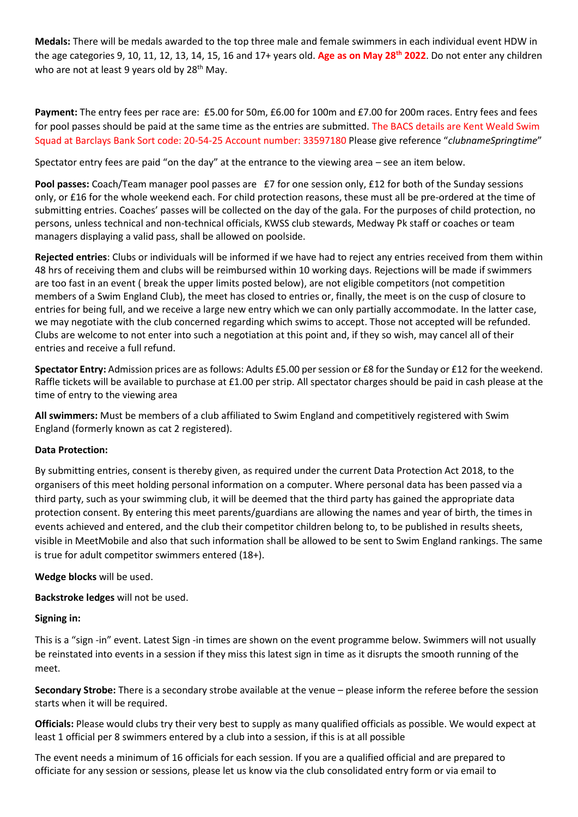**Medals:** There will be medals awarded to the top three male and female swimmers in each individual event HDW in the age categories 9, 10, 11, 12, 13, 14, 15, 16 and 17+ years old. **Age as on May 28th 2022**. Do not enter any children who are not at least 9 years old by 28<sup>th</sup> May.

**Payment:** The entry fees per race are: £5.00 for 50m, £6.00 for 100m and £7.00 for 200m races. Entry fees and fees for pool passes should be paid at the same time as the entries are submitted. The BACS details are Kent Weald Swim Squad at Barclays Bank Sort code: 20-54-25 Account number: 33597180 Please give reference "*clubnameSpringtime*"

Spectator entry fees are paid "on the day" at the entrance to the viewing area – see an item below.

**Pool passes:** Coach/Team manager pool passes are £7 for one session only, £12 for both of the Sunday sessions only, or £16 for the whole weekend each. For child protection reasons, these must all be pre-ordered at the time of submitting entries. Coaches' passes will be collected on the day of the gala. For the purposes of child protection, no persons, unless technical and non-technical officials, KWSS club stewards, Medway Pk staff or coaches or team managers displaying a valid pass, shall be allowed on poolside.

**Rejected entries**: Clubs or individuals will be informed if we have had to reject any entries received from them within 48 hrs of receiving them and clubs will be reimbursed within 10 working days. Rejections will be made if swimmers are too fast in an event ( break the upper limits posted below), are not eligible competitors (not competition members of a Swim England Club), the meet has closed to entries or, finally, the meet is on the cusp of closure to entries for being full, and we receive a large new entry which we can only partially accommodate. In the latter case, we may negotiate with the club concerned regarding which swims to accept. Those not accepted will be refunded. Clubs are welcome to not enter into such a negotiation at this point and, if they so wish, may cancel all of their entries and receive a full refund.

**Spectator Entry:** Admission prices are as follows: Adults £5.00 per session or £8 for the Sunday or £12 for the weekend. Raffle tickets will be available to purchase at £1.00 per strip. All spectator charges should be paid in cash please at the time of entry to the viewing area

**All swimmers:** Must be members of a club affiliated to Swim England and competitively registered with Swim England (formerly known as cat 2 registered).

### **Data Protection:**

By submitting entries, consent is thereby given, as required under the current Data Protection Act 2018, to the organisers of this meet holding personal information on a computer. Where personal data has been passed via a third party, such as your swimming club, it will be deemed that the third party has gained the appropriate data protection consent. By entering this meet parents/guardians are allowing the names and year of birth, the times in events achieved and entered, and the club their competitor children belong to, to be published in results sheets, visible in MeetMobile and also that such information shall be allowed to be sent to Swim England rankings. The same is true for adult competitor swimmers entered (18+).

#### **Wedge blocks** will be used.

**Backstroke ledges** will not be used.

### **Signing in:**

This is a "sign -in" event. Latest Sign -in times are shown on the event programme below. Swimmers will not usually be reinstated into events in a session if they miss this latest sign in time as it disrupts the smooth running of the meet.

**Secondary Strobe:** There is a secondary strobe available at the venue – please inform the referee before the session starts when it will be required.

**Officials:** Please would clubs try their very best to supply as many qualified officials as possible. We would expect at least 1 official per 8 swimmers entered by a club into a session, if this is at all possible

The event needs a minimum of 16 officials for each session. If you are a qualified official and are prepared to officiate for any session or sessions, please let us know via the club consolidated entry form or via email to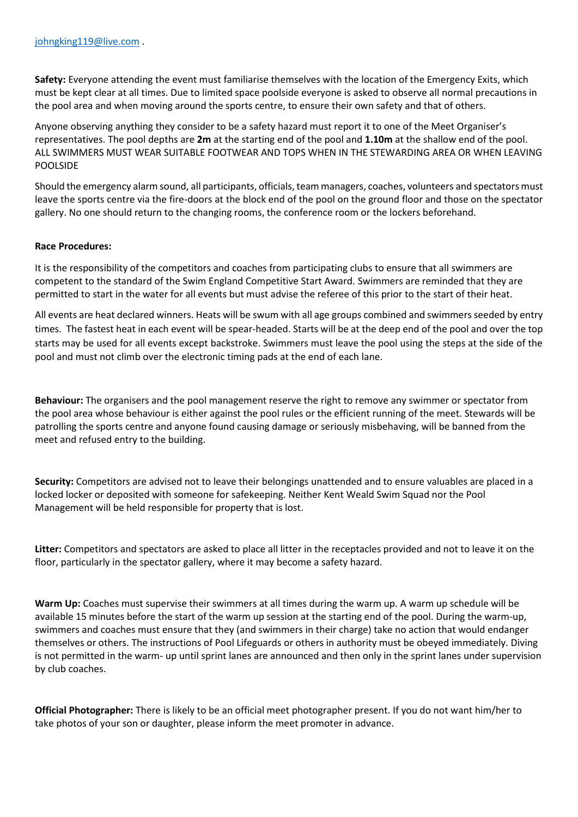**Safety:** Everyone attending the event must familiarise themselves with the location of the Emergency Exits, which must be kept clear at all times. Due to limited space poolside everyone is asked to observe all normal precautions in the pool area and when moving around the sports centre, to ensure their own safety and that of others.

Anyone observing anything they consider to be a safety hazard must report it to one of the Meet Organiser's representatives. The pool depths are **2m** at the starting end of the pool and **1.10m** at the shallow end of the pool. ALL SWIMMERS MUST WEAR SUITABLE FOOTWEAR AND TOPS WHEN IN THE STEWARDING AREA OR WHEN LEAVING POOLSIDE

Should the emergency alarm sound, all participants, officials, team managers, coaches, volunteers and spectators must leave the sports centre via the fire-doors at the block end of the pool on the ground floor and those on the spectator gallery. No one should return to the changing rooms, the conference room or the lockers beforehand.

#### **Race Procedures:**

It is the responsibility of the competitors and coaches from participating clubs to ensure that all swimmers are competent to the standard of the Swim England Competitive Start Award. Swimmers are reminded that they are permitted to start in the water for all events but must advise the referee of this prior to the start of their heat.

All events are heat declared winners. Heats will be swum with all age groups combined and swimmers seeded by entry times. The fastest heat in each event will be spear-headed. Starts will be at the deep end of the pool and over the top starts may be used for all events except backstroke. Swimmers must leave the pool using the steps at the side of the pool and must not climb over the electronic timing pads at the end of each lane.

**Behaviour:** The organisers and the pool management reserve the right to remove any swimmer or spectator from the pool area whose behaviour is either against the pool rules or the efficient running of the meet. Stewards will be patrolling the sports centre and anyone found causing damage or seriously misbehaving, will be banned from the meet and refused entry to the building.

**Security:** Competitors are advised not to leave their belongings unattended and to ensure valuables are placed in a locked locker or deposited with someone for safekeeping. Neither Kent Weald Swim Squad nor the Pool Management will be held responsible for property that is lost.

**Litter:** Competitors and spectators are asked to place all litter in the receptacles provided and not to leave it on the floor, particularly in the spectator gallery, where it may become a safety hazard.

**Warm Up:** Coaches must supervise their swimmers at all times during the warm up. A warm up schedule will be available 15 minutes before the start of the warm up session at the starting end of the pool. During the warm-up, swimmers and coaches must ensure that they (and swimmers in their charge) take no action that would endanger themselves or others. The instructions of Pool Lifeguards or others in authority must be obeyed immediately. Diving is not permitted in the warm- up until sprint lanes are announced and then only in the sprint lanes under supervision by club coaches.

**Official Photographer:** There is likely to be an official meet photographer present. If you do not want him/her to take photos of your son or daughter, please inform the meet promoter in advance.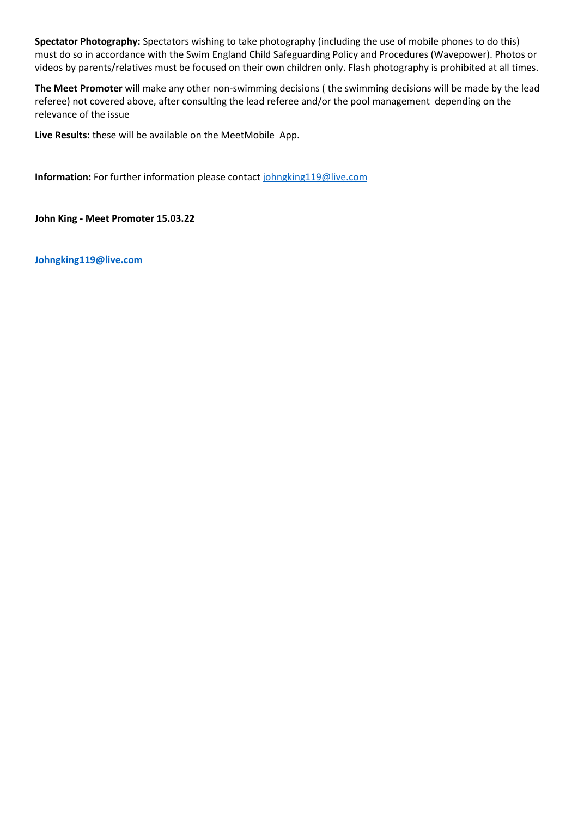**Spectator Photography:** Spectators wishing to take photography (including the use of mobile phones to do this) must do so in accordance with the Swim England Child Safeguarding Policy and Procedures (Wavepower). Photos or videos by parents/relatives must be focused on their own children only. Flash photography is prohibited at all times.

**The Meet Promoter** will make any other non-swimming decisions ( the swimming decisions will be made by the lead referee) not covered above, after consulting the lead referee and/or the pool management depending on the relevance of the issue

**Live Results:** these will be available on the MeetMobile App.

**Information:** For further information please contac[t johngking119@live.com](mailto:johngking119@live.com)

**John King - Meet Promoter 15.03.22**

**[Johngking119@live.com](mailto:Johngking119@live.com)**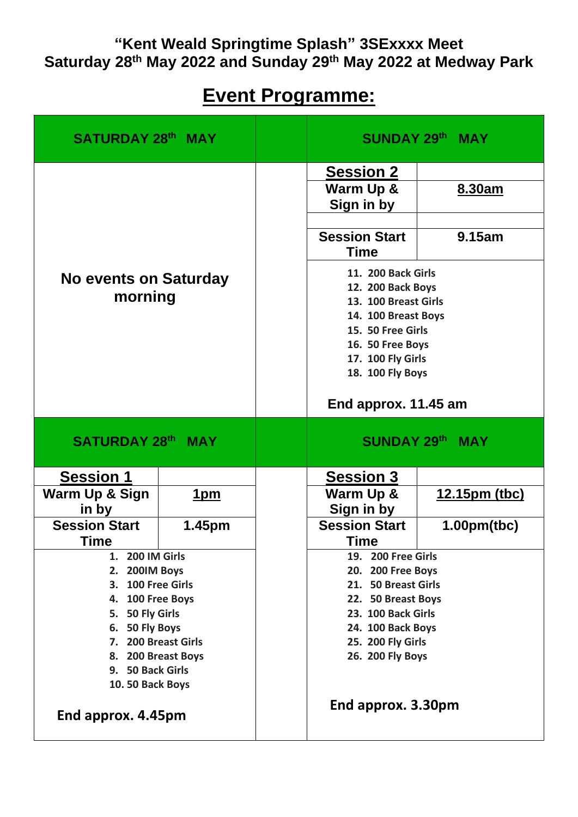## **"Kent Weald Springtime Splash" 3SExxxx Meet Saturday 28 th May 2022 and Sunday 29 th May 2022 at Medway Park**

# **Event Programme:**

| <b>SATURDAY 28th MAY</b>              |                |                  |                                        | SUNDAY 29th MAY                       |  |
|---------------------------------------|----------------|------------------|----------------------------------------|---------------------------------------|--|
|                                       |                | <b>Session 2</b> |                                        |                                       |  |
|                                       |                | Warm Up &        | 8.30am                                 |                                       |  |
|                                       |                |                  | Sign in by                             |                                       |  |
|                                       |                |                  | <b>Session Start</b>                   | 9.15am                                |  |
|                                       |                |                  | <b>Time</b>                            |                                       |  |
|                                       |                |                  | <b>11. 200 Back Girls</b>              |                                       |  |
| <b>No events on Saturday</b>          |                |                  | 12. 200 Back Boys                      |                                       |  |
| morning                               |                |                  | 13. 100 Breast Girls                   |                                       |  |
|                                       |                |                  | 14. 100 Breast Boys                    |                                       |  |
|                                       |                |                  | 15. 50 Free Girls                      |                                       |  |
|                                       |                |                  | 16. 50 Free Boys                       |                                       |  |
|                                       |                |                  | 17. 100 Fly Girls<br>18. 100 Fly Boys  |                                       |  |
|                                       |                |                  |                                        |                                       |  |
|                                       |                |                  | End approx. 11.45 am                   |                                       |  |
| <b>SATURDAY 28th MAY</b>              |                |                  | SUNDAY 29th MAY                        |                                       |  |
|                                       |                |                  |                                        |                                       |  |
| <b>Session 1</b>                      |                |                  | <b>Session 3</b>                       |                                       |  |
| Warm Up & Sign                        | <u>1pm</u>     |                  | Warm Up &                              | <u>12.15pm (tbc)</u>                  |  |
| in by                                 |                |                  | Sign in by                             |                                       |  |
| <b>Session Start</b>                  | 1.45pm         |                  | <b>Session Start</b>                   | 1.00 <sub>pm</sub> ( <sub>the</sub> ) |  |
| Time                                  |                |                  | <b>Time</b>                            |                                       |  |
| 200 IM Girls<br>1.                    |                |                  | 19. 200 Free Girls                     |                                       |  |
| 2. 200IM Boys                         |                |                  | 20. 200 Free Boys                      |                                       |  |
| 3.                                    | 100 Free Girls |                  | 21. 50 Breast Girls                    |                                       |  |
| 4.                                    | 100 Free Boys  |                  | 22. 50 Breast Boys                     |                                       |  |
| 50 Fly Girls<br>5.                    |                |                  | 23. 100 Back Girls                     |                                       |  |
| 6. 50 Fly Boys<br>7. 200 Breast Girls |                |                  | 24. 100 Back Boys<br>25. 200 Fly Girls |                                       |  |
| 8. 200 Breast Boys                    |                |                  | 26. 200 Fly Boys                       |                                       |  |
| 9. 50 Back Girls                      |                |                  |                                        |                                       |  |
| 10.50 Back Boys                       |                |                  |                                        |                                       |  |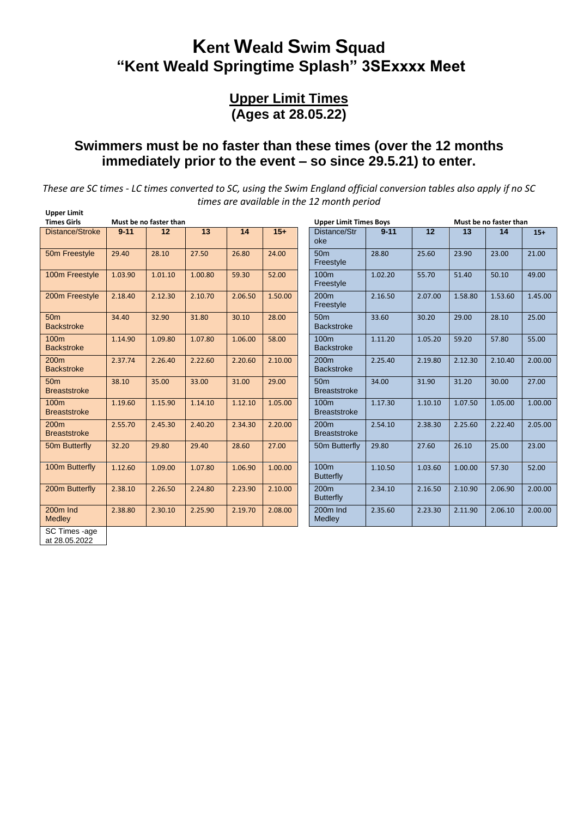# **Kent Weald Swim Squad "Kent Weald Springtime Splash" 3SExxxx Meet**

### **Upper Limit Times (Ages at 28.05.22)**

### **Swimmers must be no faster than these times (over the 12 months immediately prior to the event – so since 29.5.21) to enter.**

*These are SC times - LC times converted to SC, using the Swim England official conversion tables also apply if no SC times are available in the 12 month period* **Upper Limit** 

| <b>Times Girls</b><br>Must be no faster than |          |         |         | <b>Upper Limit Times Boys</b> |         |                                         | Must be no faster than |         |         |         |         |
|----------------------------------------------|----------|---------|---------|-------------------------------|---------|-----------------------------------------|------------------------|---------|---------|---------|---------|
| Distance/Stroke                              | $9 - 11$ | 12      | 13      | 14                            | $15+$   | Distance/Str<br>oke                     | $9 - 11$               | 12      | 13      | 14      | $15 +$  |
| 50m Freestyle                                | 29.40    | 28.10   | 27.50   | 26.80                         | 24.00   | 50 <sub>m</sub><br>Freestyle            | 28.80                  | 25.60   | 23.90   | 23.00   | 21.00   |
| 100m Freestyle                               | 1.03.90  | 1.01.10 | 1.00.80 | 59.30                         | 52.00   | 100 <sub>m</sub><br>Freestyle           | 1.02.20                | 55.70   | 51.40   | 50.10   | 49.00   |
| 200m Freestyle                               | 2.18.40  | 2.12.30 | 2.10.70 | 2.06.50                       | 1.50.00 | 200m<br>Freestyle                       | 2.16.50                | 2.07.00 | 1.58.80 | 1.53.60 | 1.45.00 |
| 50 <sub>m</sub><br><b>Backstroke</b>         | 34.40    | 32.90   | 31.80   | 30.10                         | 28.00   | 50 <sub>m</sub><br><b>Backstroke</b>    | 33.60                  | 30.20   | 29.00   | 28.10   | 25.00   |
| 100 <sub>m</sub><br><b>Backstroke</b>        | 1.14.90  | 1.09.80 | 1.07.80 | 1.06.00                       | 58.00   | 100 <sub>m</sub><br><b>Backstroke</b>   | 1.11.20                | 1.05.20 | 59.20   | 57.80   | 55.00   |
| 200 <sub>m</sub><br><b>Backstroke</b>        | 2.37.74  | 2.26.40 | 2.22.60 | 2.20.60                       | 2.10.00 | 200 <sub>m</sub><br><b>Backstroke</b>   | 2.25.40                | 2.19.80 | 2.12.30 | 2.10.40 | 2.00.00 |
| 50 <sub>m</sub><br><b>Breaststroke</b>       | 38.10    | 35.00   | 33.00   | 31.00                         | 29.00   | 50 <sub>m</sub><br><b>Breaststroke</b>  | 34.00                  | 31.90   | 31.20   | 30.00   | 27.00   |
| 100 <sub>m</sub><br><b>Breaststroke</b>      | 1.19.60  | 1.15.90 | 1.14.10 | 1.12.10                       | 1.05.00 | 100 <sub>m</sub><br><b>Breaststroke</b> | 1.17.30                | 1.10.10 | 1.07.50 | 1.05.00 | 1.00.00 |
| 200 <sub>m</sub><br><b>Breaststroke</b>      | 2.55.70  | 2.45.30 | 2.40.20 | 2.34.30                       | 2.20.00 | 200 <sub>m</sub><br><b>Breaststroke</b> | 2.54.10                | 2.38.30 | 2.25.60 | 2.22.40 | 2.05.00 |
| 50m Butterfly                                | 32.20    | 29.80   | 29.40   | 28.60                         | 27.00   | 50m Butterfly                           | 29.80                  | 27.60   | 26.10   | 25.00   | 23.00   |
| 100m Butterfly                               | 1.12.60  | 1.09.00 | 1.07.80 | 1.06.90                       | 1.00.00 | 100m<br><b>Butterfly</b>                | 1.10.50                | 1.03.60 | 1.00.00 | 57.30   | 52.00   |
| 200m Butterfly                               | 2.38.10  | 2.26.50 | 2.24.80 | 2.23.90                       | 2.10.00 | 200 <sub>m</sub><br><b>Butterfly</b>    | 2.34.10                | 2.16.50 | 2.10.90 | 2.06.90 | 2.00.00 |
| 200m Ind<br><b>Medley</b>                    | 2.38.80  | 2.30.10 | 2.25.90 | 2.19.70                       | 2.08.00 | 200m Ind<br><b>Medley</b>               | 2.35.60                | 2.23.30 | 2.11.90 | 2.06.10 | 2.00.00 |
| SC Times -age                                |          |         |         |                               |         |                                         |                        |         |         |         |         |

at 28.05.2022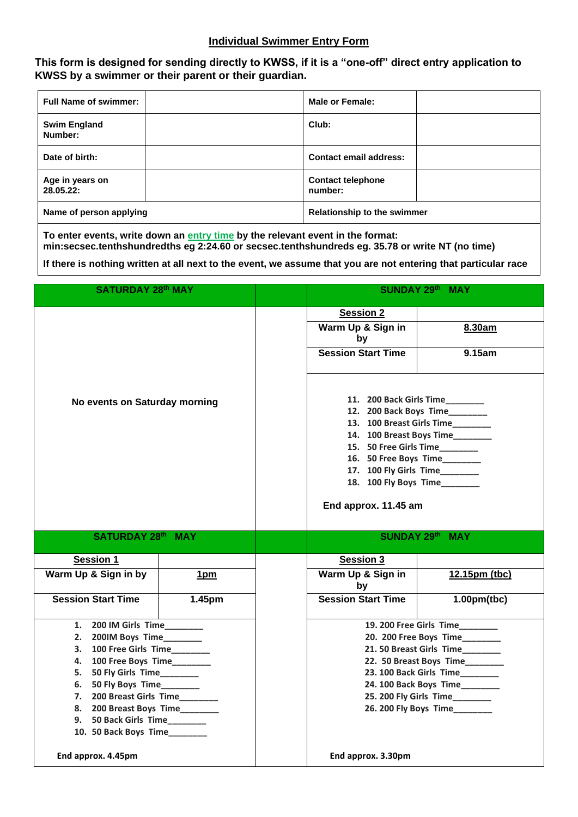### **Individual Swimmer Entry Form**

**This form is designed for sending directly to KWSS, if it is a "one-off" direct entry application to KWSS by a swimmer or their parent or their guardian.**

| <b>Full Name of swimmer:</b>   |  | Male or Female:                     |  |
|--------------------------------|--|-------------------------------------|--|
| <b>Swim England</b><br>Number: |  | Club:                               |  |
| Date of birth:                 |  | Contact email address:              |  |
| Age in years on<br>28.05.22:   |  | <b>Contact telephone</b><br>number: |  |
| Name of person applying        |  | <b>Relationship to the swimmer</b>  |  |

**To enter events, write down an entry time by the relevant event in the format: min:secsec.tenthshundredths eg 2:24.60 or secsec.tenthshundreds eg. 35.78 or write NT (no time)**

**If there is nothing written at all next to the event, we assume that you are not entering that particular race**

| <b>SATURDAY 28th MAY</b>                                     |                           | SUNDAY 29th MAY                                                                                                                                                                                                                                                                            |                                                                   |  |
|--------------------------------------------------------------|---------------------------|--------------------------------------------------------------------------------------------------------------------------------------------------------------------------------------------------------------------------------------------------------------------------------------------|-------------------------------------------------------------------|--|
|                                                              |                           | <b>Session 2</b>                                                                                                                                                                                                                                                                           |                                                                   |  |
|                                                              | Warm Up & Sign in<br>by   | 8.30am                                                                                                                                                                                                                                                                                     |                                                                   |  |
|                                                              | <b>Session Start Time</b> | 9.15am                                                                                                                                                                                                                                                                                     |                                                                   |  |
| No events on Saturday morning                                |                           | 11. 200 Back Girls Time________<br>12. 200 Back Boys Time<br>13. 100 Breast Girls Time______<br>14. 100 Breast Boys Time________<br>15. 50 Free Girls Time_______<br>16. 50 Free Boys Time_______<br>17. 100 Fly Girls Time_______<br>18. 100 Fly Boys Time_______<br>End approx. 11.45 am |                                                                   |  |
|                                                              |                           |                                                                                                                                                                                                                                                                                            |                                                                   |  |
| SATURDAY 28th MAY                                            |                           |                                                                                                                                                                                                                                                                                            | SUNDAY 29th MAY                                                   |  |
| <b>Session 1</b>                                             |                           | Session 3                                                                                                                                                                                                                                                                                  |                                                                   |  |
| Warm Up & Sign in by                                         | 1pm                       | Warm Up & Sign in<br>by                                                                                                                                                                                                                                                                    | 12.15pm (tbc)                                                     |  |
| <b>Session Start Time</b>                                    | 1.45pm                    | <b>Session Start Time</b>                                                                                                                                                                                                                                                                  | 1.00 <sub>pm</sub> ( <sub>tbc</sub> )                             |  |
|                                                              |                           |                                                                                                                                                                                                                                                                                            |                                                                   |  |
| 1. 200 IM Girls Time_______<br>2. 200IM Boys Time_______     |                           |                                                                                                                                                                                                                                                                                            | 19. 200 Free Girls Time________<br>20. 200 Free Boys Time________ |  |
| 3. 100 Free Girls Time_______                                |                           |                                                                                                                                                                                                                                                                                            | 21. 50 Breast Girls Time                                          |  |
| 4. 100 Free Boys Time_______                                 |                           |                                                                                                                                                                                                                                                                                            | 22. 50 Breast Boys Time                                           |  |
| 5. 50 Fly Girls Time______                                   |                           |                                                                                                                                                                                                                                                                                            | 23. 100 Back Girls Time_______                                    |  |
| 6. 50 Fly Boys Time________                                  |                           |                                                                                                                                                                                                                                                                                            | 24. 100 Back Boys Time_______                                     |  |
| 7. 200 Breast Girls Time______                               |                           |                                                                                                                                                                                                                                                                                            | 25. 200 Fly Girls Time_______                                     |  |
| 8. 200 Breast Boys Time_______                               |                           |                                                                                                                                                                                                                                                                                            | 26. 200 Fly Boys Time_______                                      |  |
| 9. 50 Back Girls Time_______<br>10. 50 Back Boys Time_______ |                           |                                                                                                                                                                                                                                                                                            |                                                                   |  |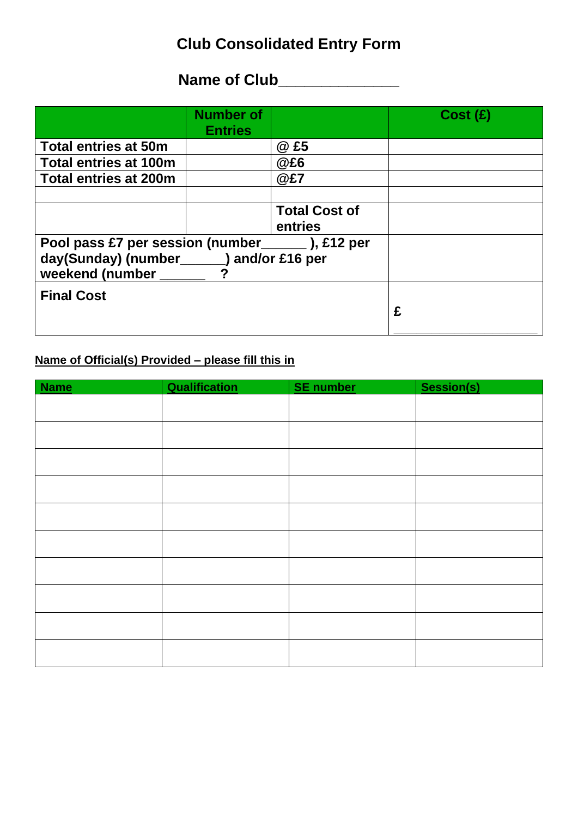# **Club Consolidated Entry Form**

# **Name of Club\_\_\_\_\_\_\_\_\_\_\_\_\_\_\_\_\_**

|                                                                                                                     | <b>Number of</b><br><b>Entries</b> |                                 | Cost(f) |
|---------------------------------------------------------------------------------------------------------------------|------------------------------------|---------------------------------|---------|
| <b>Total entries at 50m</b>                                                                                         |                                    | @ £5                            |         |
| <b>Total entries at 100m</b>                                                                                        |                                    | @£6                             |         |
| <b>Total entries at 200m</b>                                                                                        |                                    | @£7                             |         |
|                                                                                                                     |                                    | <b>Total Cost of</b><br>entries |         |
| Pool pass £7 per session (number ________ ), £12 per<br>day(Sunday) (number_____) and/or £16 per<br>weekend (number |                                    |                                 |         |
| <b>Final Cost</b>                                                                                                   |                                    |                                 | £       |

### **Name of Official(s) Provided – please fill this in**

| <b>Name</b> | <b>Qualification</b> | <b>SE</b> number | Session(s) |
|-------------|----------------------|------------------|------------|
|             |                      |                  |            |
|             |                      |                  |            |
|             |                      |                  |            |
|             |                      |                  |            |
|             |                      |                  |            |
|             |                      |                  |            |
|             |                      |                  |            |
|             |                      |                  |            |
|             |                      |                  |            |
|             |                      |                  |            |
|             |                      |                  |            |
|             |                      |                  |            |
|             |                      |                  |            |
|             |                      |                  |            |
|             |                      |                  |            |
|             |                      |                  |            |
|             |                      |                  |            |
|             |                      |                  |            |